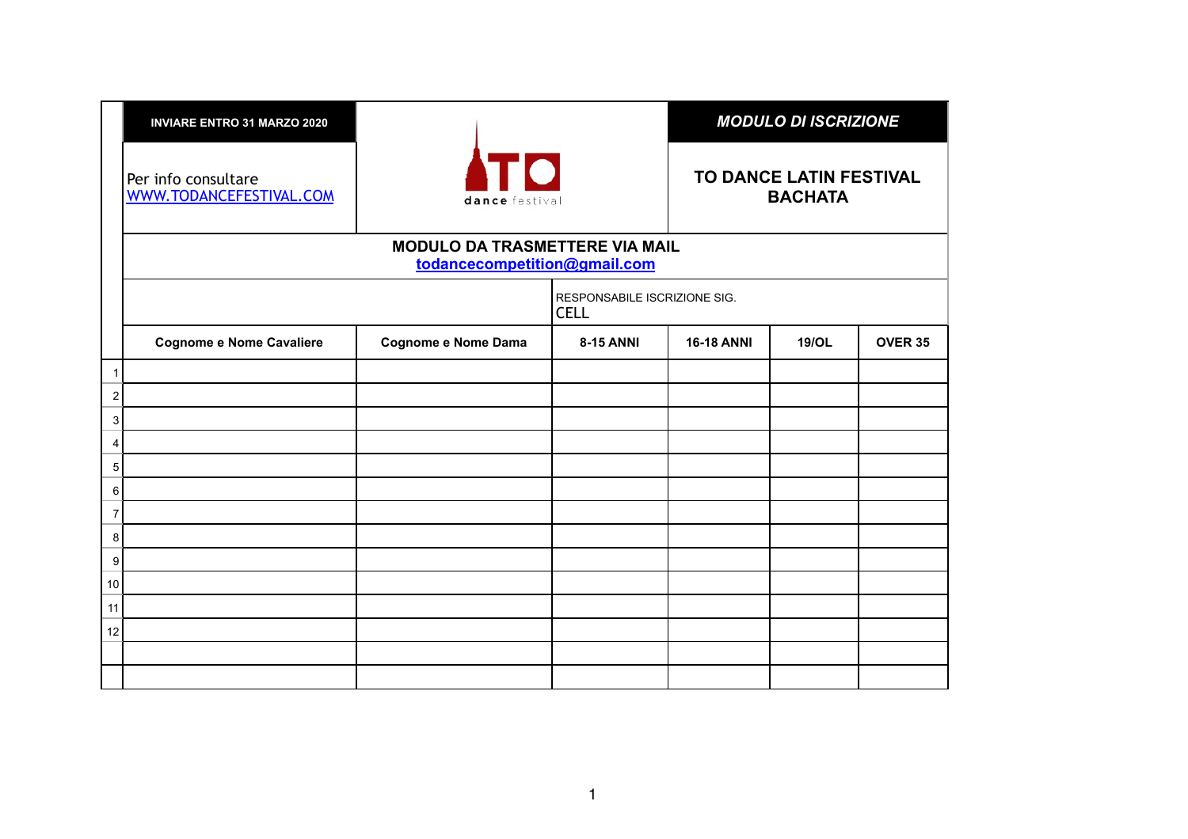|                | <b>INVIARE ENTRO 31 MARZO 2020</b>             |                                                                       |                                             |                                           | <b>MODULO DI ISCRIZIONE</b> |                |  |
|----------------|------------------------------------------------|-----------------------------------------------------------------------|---------------------------------------------|-------------------------------------------|-----------------------------|----------------|--|
|                | Per info consultare<br>WWW.TODANCEFESTIVAL.COM | <b>Іто</b><br>dance festival                                          |                                             | TO DANCE LATIN FESTIVAL<br><b>BACHATA</b> |                             |                |  |
|                |                                                | <b>MODULO DA TRASMETTERE VIA MAIL</b><br>todancecompetition@gmail.com |                                             |                                           |                             |                |  |
|                |                                                |                                                                       | RESPONSABILE ISCRIZIONE SIG.<br><b>CELL</b> |                                           |                             |                |  |
|                | <b>Cognome e Nome Cavaliere</b>                | Cognome e Nome Dama                                                   | <b>8-15 ANNI</b>                            | <b>16-18 ANNI</b>                         | 19/OL                       | <b>OVER 35</b> |  |
| 1              |                                                |                                                                       |                                             |                                           |                             |                |  |
| $\overline{c}$ |                                                |                                                                       |                                             |                                           |                             |                |  |
| 3 <sup>1</sup> |                                                |                                                                       |                                             |                                           |                             |                |  |
| 4              |                                                |                                                                       |                                             |                                           |                             |                |  |
| 5 <sup>1</sup> |                                                |                                                                       |                                             |                                           |                             |                |  |
| 6              |                                                |                                                                       |                                             |                                           |                             |                |  |
| 7              |                                                |                                                                       |                                             |                                           |                             |                |  |
| 8              |                                                |                                                                       |                                             |                                           |                             |                |  |
| 9              |                                                |                                                                       |                                             |                                           |                             |                |  |
| 10             |                                                |                                                                       |                                             |                                           |                             |                |  |
| 11             |                                                |                                                                       |                                             |                                           |                             |                |  |
| 12             |                                                |                                                                       |                                             |                                           |                             |                |  |
|                |                                                |                                                                       |                                             |                                           |                             |                |  |
|                |                                                |                                                                       |                                             |                                           |                             |                |  |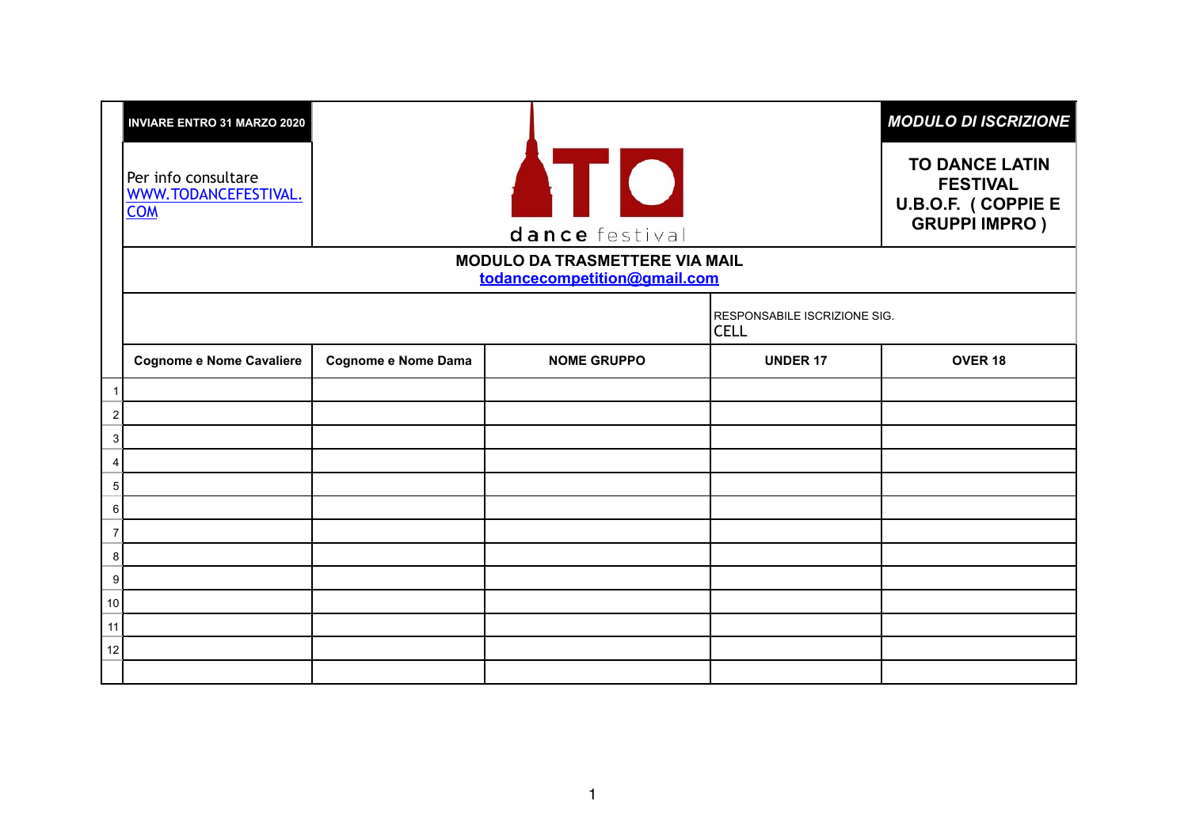|              | <b>INVIARE ENTRO 31 MARZO 2020</b>                        |                     |                                                                       |                                                    | <b>MODULO DI ISCRIZIONE</b>                                                            |
|--------------|-----------------------------------------------------------|---------------------|-----------------------------------------------------------------------|----------------------------------------------------|----------------------------------------------------------------------------------------|
|              | Per info consultare<br>WWW.TODANCEFESTIVAL.<br><b>COM</b> |                     | <b>ATIO</b><br>dance festival                                         |                                                    | <b>TO DANCE LATIN</b><br><b>FESTIVAL</b><br>U.B.O.F. (COPPIE E<br><b>GRUPPI IMPRO)</b> |
|              |                                                           |                     | <b>MODULO DA TRASMETTERE VIA MAIL</b><br>todancecompetition@gmail.com |                                                    |                                                                                        |
|              |                                                           |                     |                                                                       | <b>RESPONSABILE ISCRIZIONE SIG.</b><br><b>CELL</b> |                                                                                        |
|              | <b>Cognome e Nome Cavaliere</b>                           | Cognome e Nome Dama | <b>NOME GRUPPO</b>                                                    | <b>UNDER 17</b>                                    | OVER <sub>18</sub>                                                                     |
| $\mathbf{1}$ |                                                           |                     |                                                                       |                                                    |                                                                                        |
| 2            |                                                           |                     |                                                                       |                                                    |                                                                                        |
| 3            |                                                           |                     |                                                                       |                                                    |                                                                                        |
| 4            |                                                           |                     |                                                                       |                                                    |                                                                                        |
| 5            |                                                           |                     |                                                                       |                                                    |                                                                                        |
| 6            |                                                           |                     |                                                                       |                                                    |                                                                                        |
| 7            |                                                           |                     |                                                                       |                                                    |                                                                                        |
| 8            |                                                           |                     |                                                                       |                                                    |                                                                                        |
| 9            |                                                           |                     |                                                                       |                                                    |                                                                                        |
| 10           |                                                           |                     |                                                                       |                                                    |                                                                                        |
| 11           |                                                           |                     |                                                                       |                                                    |                                                                                        |
| 12           |                                                           |                     |                                                                       |                                                    |                                                                                        |
|              |                                                           |                     |                                                                       |                                                    |                                                                                        |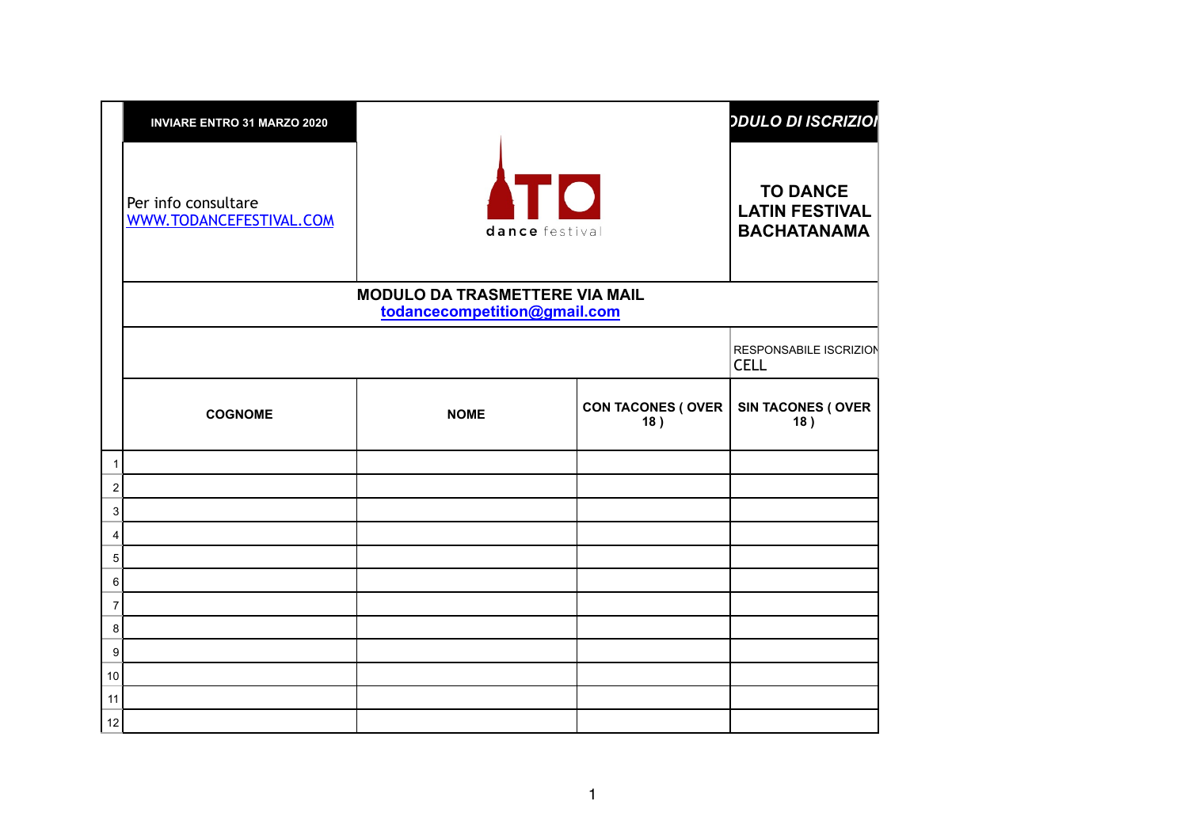|                     | <b>INVIARE ENTRO 31 MARZO 2020</b>             |                                                                       |                                  | <b>ODULO DI ISCRIZIOI</b>                                      |
|---------------------|------------------------------------------------|-----------------------------------------------------------------------|----------------------------------|----------------------------------------------------------------|
|                     | Per info consultare<br>WWW.TODANCEFESTIVAL.COM | <b>ATO</b><br>dance festival                                          |                                  | <b>TO DANCE</b><br><b>LATIN FESTIVAL</b><br><b>BACHATANAMA</b> |
|                     |                                                | <b>MODULO DA TRASMETTERE VIA MAIL</b><br>todancecompetition@gmail.com |                                  |                                                                |
|                     |                                                |                                                                       |                                  | RESPONSABILE ISCRIZION<br><b>CELL</b>                          |
|                     | <b>COGNOME</b>                                 | <b>NOME</b>                                                           | <b>CON TACONES (OVER)</b><br>18) | <b>SIN TACONES (OVER</b><br>18)                                |
| $\mathbf{1}$        |                                                |                                                                       |                                  |                                                                |
| 2                   |                                                |                                                                       |                                  |                                                                |
| 3                   |                                                |                                                                       |                                  |                                                                |
| $\overline{4}$<br>5 |                                                |                                                                       |                                  |                                                                |
| 6                   |                                                |                                                                       |                                  |                                                                |
| 7                   |                                                |                                                                       |                                  |                                                                |
| 8                   |                                                |                                                                       |                                  |                                                                |
| 9                   |                                                |                                                                       |                                  |                                                                |
| 10                  |                                                |                                                                       |                                  |                                                                |
| 11                  |                                                |                                                                       |                                  |                                                                |
| 12                  |                                                |                                                                       |                                  |                                                                |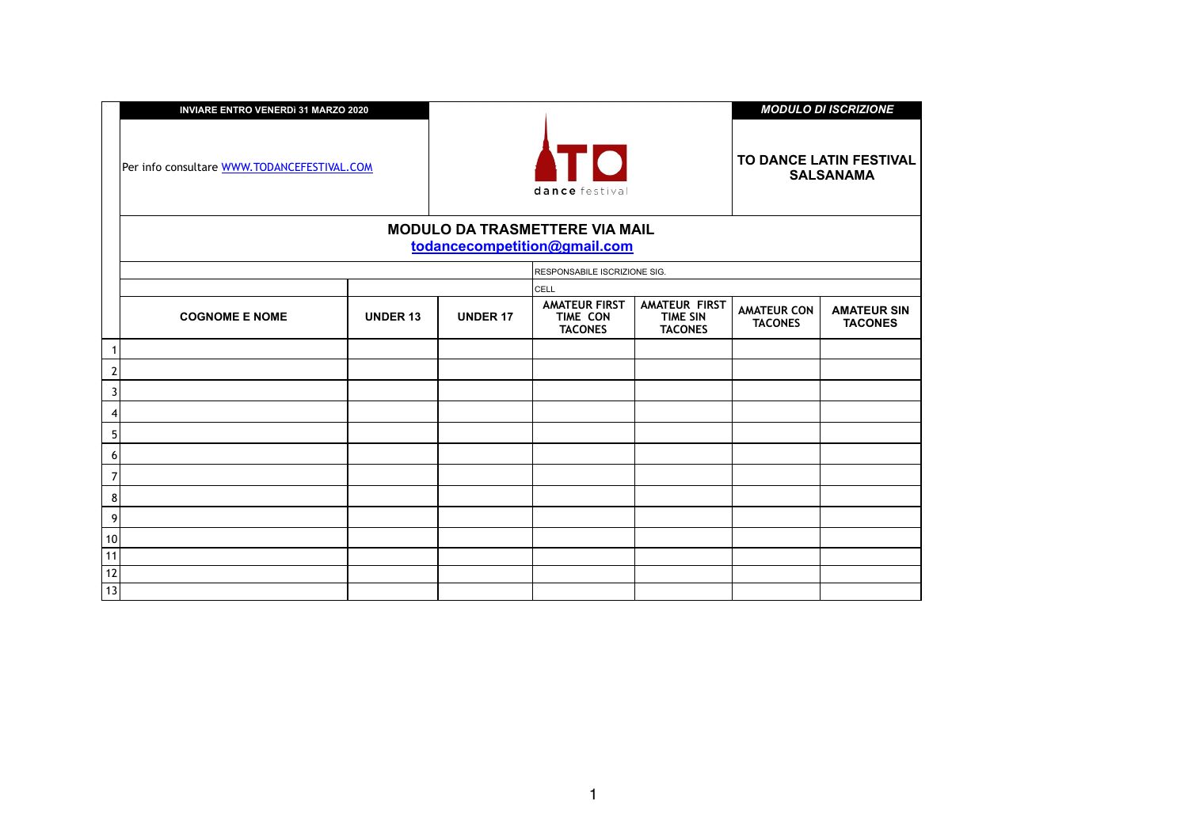|                | <b>INVIARE ENTRO VENERDI 31 MARZO 2020</b>  |                 |                 |                                                                       |                                                           |                                      | <b>MODULO DI ISCRIZIONE</b>                 |
|----------------|---------------------------------------------|-----------------|-----------------|-----------------------------------------------------------------------|-----------------------------------------------------------|--------------------------------------|---------------------------------------------|
|                | Per info consultare WWW.TODANCEFESTIVAL.COM |                 |                 | <b>ATO</b><br>dance festival                                          |                                                           |                                      | TO DANCE LATIN FESTIVAL<br><b>SALSANAMA</b> |
|                |                                             |                 |                 | <b>MODULO DA TRASMETTERE VIA MAIL</b><br>todancecompetition@gmail.com |                                                           |                                      |                                             |
|                |                                             |                 |                 | RESPONSABILE ISCRIZIONE SIG.                                          |                                                           |                                      |                                             |
|                |                                             |                 |                 | <b>CELL</b>                                                           |                                                           |                                      |                                             |
|                | <b>COGNOME E NOME</b>                       | <b>UNDER 13</b> | <b>UNDER 17</b> | <b>AMATEUR FIRST</b><br><b>TIME CON</b><br><b>TACONES</b>             | <b>AMATEUR FIRST</b><br><b>TIME SIN</b><br><b>TACONES</b> | <b>AMATEUR CON</b><br><b>TACONES</b> | <b>AMATEUR SIN</b><br><b>TACONES</b>        |
|                |                                             |                 |                 |                                                                       |                                                           |                                      |                                             |
| $\overline{a}$ |                                             |                 |                 |                                                                       |                                                           |                                      |                                             |
| 3              |                                             |                 |                 |                                                                       |                                                           |                                      |                                             |
| 4              |                                             |                 |                 |                                                                       |                                                           |                                      |                                             |
| 5              |                                             |                 |                 |                                                                       |                                                           |                                      |                                             |
| 6              |                                             |                 |                 |                                                                       |                                                           |                                      |                                             |
| 7              |                                             |                 |                 |                                                                       |                                                           |                                      |                                             |
| 8              |                                             |                 |                 |                                                                       |                                                           |                                      |                                             |
| 9              |                                             |                 |                 |                                                                       |                                                           |                                      |                                             |
| 10             |                                             |                 |                 |                                                                       |                                                           |                                      |                                             |
| 11             |                                             |                 |                 |                                                                       |                                                           |                                      |                                             |
| 12             |                                             |                 |                 |                                                                       |                                                           |                                      |                                             |
| 13             |                                             |                 |                 |                                                                       |                                                           |                                      |                                             |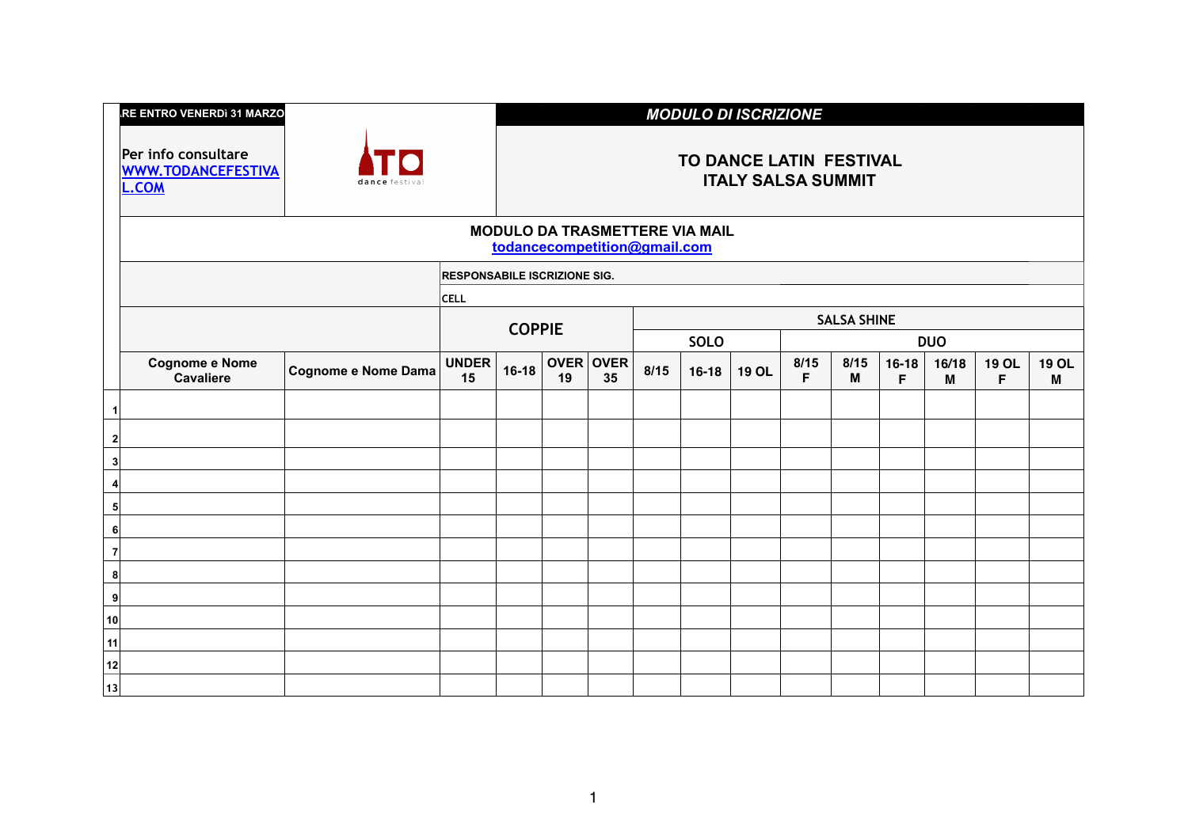| <b>I.RE ENTRO VENERDì 31 MARZO</b> |  |
|------------------------------------|--|
|                                    |  |
|                                    |  |

**Per info consultare [WWW.TODANCEFESTIVA](http://www.todancefestival.com) L.COM**



## **TO DANCE LATIN FESTIVAL ITALY SALSA SUMMIT**

### **MODULO DA TRASMETTERE VIA MAIL [todancecompetition@gmail.com](mailto:todancecompetition@gmail.com)**

|                  |                                           |                             | <b>RESPONSABILE ISCRIZIONE SIG.</b> |               |    |                 |      |             |              |           |                    |              |            |                    |                   |
|------------------|-------------------------------------------|-----------------------------|-------------------------------------|---------------|----|-----------------|------|-------------|--------------|-----------|--------------------|--------------|------------|--------------------|-------------------|
|                  |                                           |                             | <b>CELL</b>                         |               |    |                 |      |             |              |           |                    |              |            |                    |                   |
|                  |                                           |                             |                                     |               |    |                 |      |             |              |           | <b>SALSA SHINE</b> |              |            |                    |                   |
|                  |                                           |                             |                                     | <b>COPPIE</b> |    |                 |      | <b>SOLO</b> |              |           |                    |              | <b>DUO</b> |                    |                   |
|                  | <b>Cognome e Nome</b><br><b>Cavaliere</b> | $ $ Cognome e Nome Dama $ $ | UNDER<br>15                         | $16-18$       | 19 | OVER OVER<br>35 | 8/15 | $16 - 18$   | <b>19 OL</b> | 8/15<br>F | 8/15<br>M          | $16-18$<br>F | 16/18<br>M | <b>19 OL</b><br>F. | <b>19 OL</b><br>M |
|                  |                                           |                             |                                     |               |    |                 |      |             |              |           |                    |              |            |                    |                   |
| $\boldsymbol{2}$ |                                           |                             |                                     |               |    |                 |      |             |              |           |                    |              |            |                    |                   |
| 3                |                                           |                             |                                     |               |    |                 |      |             |              |           |                    |              |            |                    |                   |
|                  |                                           |                             |                                     |               |    |                 |      |             |              |           |                    |              |            |                    |                   |
| 5 <sup>1</sup>   |                                           |                             |                                     |               |    |                 |      |             |              |           |                    |              |            |                    |                   |
| 6                |                                           |                             |                                     |               |    |                 |      |             |              |           |                    |              |            |                    |                   |
| 7                |                                           |                             |                                     |               |    |                 |      |             |              |           |                    |              |            |                    |                   |
| 8                |                                           |                             |                                     |               |    |                 |      |             |              |           |                    |              |            |                    |                   |
| 9                |                                           |                             |                                     |               |    |                 |      |             |              |           |                    |              |            |                    |                   |
| 10               |                                           |                             |                                     |               |    |                 |      |             |              |           |                    |              |            |                    |                   |
| 11               |                                           |                             |                                     |               |    |                 |      |             |              |           |                    |              |            |                    |                   |
| 12               |                                           |                             |                                     |               |    |                 |      |             |              |           |                    |              |            |                    |                   |
| 13               |                                           |                             |                                     |               |    |                 |      |             |              |           |                    |              |            |                    |                   |

## **INODULO DI ISCRIZIONE**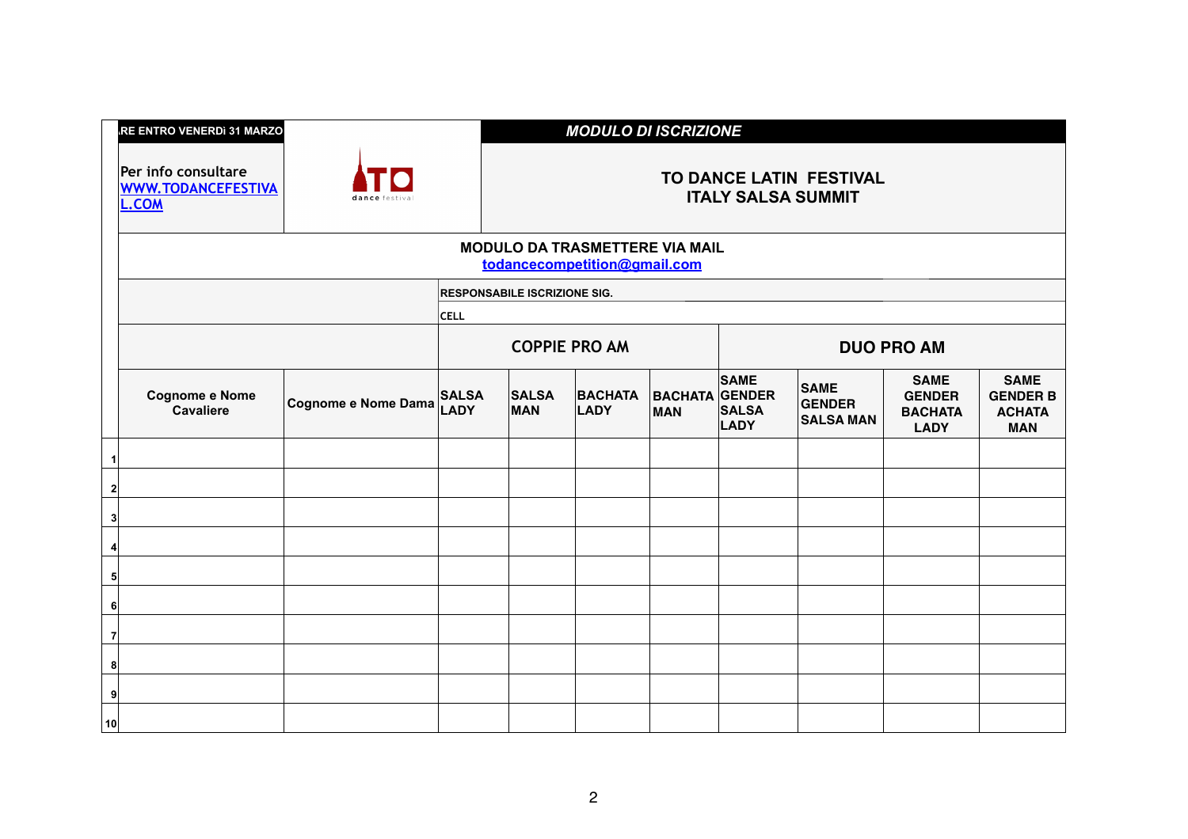# **INVIARE ENTRO VENERDì 31 MARZO 2020** *MODULO DI ISCRIZIONE*

## **TO DANCE LATIN FESTIVAL ITALY SALSA SUMMIT**

### **RE VIA MAIL** <u>mail.com</u>

|                | <b>RE ENTRO VENERDI 31 MARZO</b><br>Per info consultare<br><b>WWW.TODANCEFESTIVA</b><br>L.COM | TO<br>dance festival |                             |                                                      | <b>MODULO L</b>               |
|----------------|-----------------------------------------------------------------------------------------------|----------------------|-----------------------------|------------------------------------------------------|-------------------------------|
|                |                                                                                               |                      |                             | <b>MODULO DA TRASMETTEI</b><br>todancecompetition@gl |                               |
|                |                                                                                               |                      |                             | <b>RESPONSABILE ISCRIZIONE SIG.</b>                  |                               |
|                |                                                                                               |                      | <b>CELL</b>                 |                                                      |                               |
|                |                                                                                               |                      |                             | <b>COPPIE PRO AM</b>                                 |                               |
|                | <b>Cognome e Nome</b><br><b>Cavaliere</b>                                                     | Cognome e Nome Dama  | <b>SALSA</b><br><b>LADY</b> | <b>SALSA</b><br><b>MAN</b>                           | <b>BACHATA</b><br><b>LADY</b> |
| 1              |                                                                                               |                      |                             |                                                      |                               |
| 2              |                                                                                               |                      |                             |                                                      |                               |
| 3              |                                                                                               |                      |                             |                                                      |                               |
| 4              |                                                                                               |                      |                             |                                                      |                               |
| 5              |                                                                                               |                      |                             |                                                      |                               |
| 6              |                                                                                               |                      |                             |                                                      |                               |
| $\overline{7}$ |                                                                                               |                      |                             |                                                      |                               |
| 8              |                                                                                               |                      |                             |                                                      |                               |
| 9              |                                                                                               |                      |                             |                                                      |                               |
| 10             |                                                                                               |                      |                             |                                                      |                               |

| <b>COPPIE PRO AM</b>       |                        |                                     |                                     | <b>DUO PRO AM</b>                                |                                                               |                                                               |  |  |
|----------------------------|------------------------|-------------------------------------|-------------------------------------|--------------------------------------------------|---------------------------------------------------------------|---------------------------------------------------------------|--|--|
| <b>SALSA</b><br><b>MAN</b> | <b>BACHATA</b><br>LADY | <b>BACHATA GENDER</b><br><b>MAN</b> | <b>SAME</b><br><b>SALSA</b><br>LADY | <b>SAME</b><br><b>GENDER</b><br><b>SALSA MAN</b> | <b>SAME</b><br><b>GENDER</b><br><b>BACHATA</b><br><b>LADY</b> | <b>SAME</b><br><b>GENDER B</b><br><b>ACHATA</b><br><b>MAN</b> |  |  |
|                            |                        |                                     |                                     |                                                  |                                                               |                                                               |  |  |
|                            |                        |                                     |                                     |                                                  |                                                               |                                                               |  |  |
|                            |                        |                                     |                                     |                                                  |                                                               |                                                               |  |  |
|                            |                        |                                     |                                     |                                                  |                                                               |                                                               |  |  |
|                            |                        |                                     |                                     |                                                  |                                                               |                                                               |  |  |
|                            |                        |                                     |                                     |                                                  |                                                               |                                                               |  |  |
|                            |                        |                                     |                                     |                                                  |                                                               |                                                               |  |  |
|                            |                        |                                     |                                     |                                                  |                                                               |                                                               |  |  |
|                            |                        |                                     |                                     |                                                  |                                                               |                                                               |  |  |
|                            |                        |                                     |                                     |                                                  |                                                               |                                                               |  |  |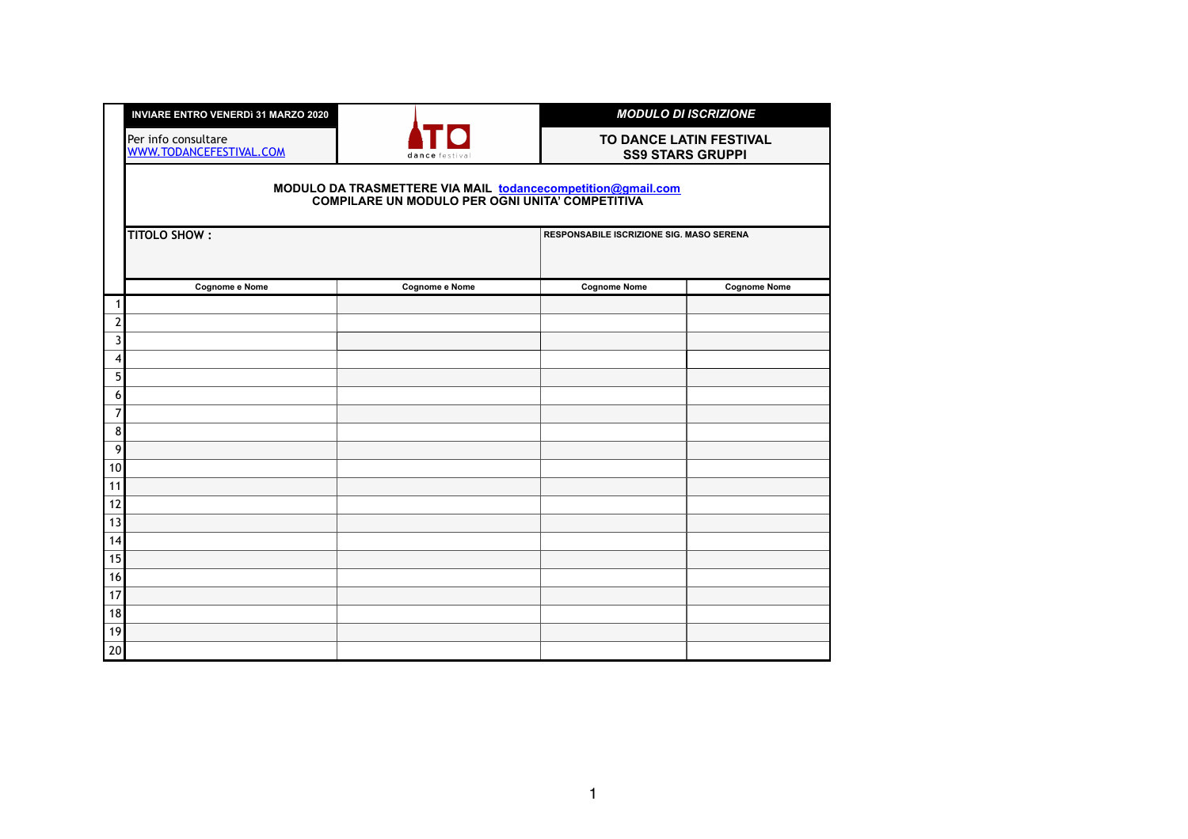| <b>INVIARE ENTRO VENERDI 31 MARZO 2020</b>     |                                                                                                                | <b>MODULO DI ISCRIZIONE</b>                        |                     |
|------------------------------------------------|----------------------------------------------------------------------------------------------------------------|----------------------------------------------------|---------------------|
| Per info consultare<br>WWW.TODANCEFESTIVAL.COM | dance festiva                                                                                                  | TO DANCE LATIN FESTIVAL<br><b>SS9 STARS GRUPPI</b> |                     |
|                                                | MODULO DA TRASMETTERE VIA MAIL todancecompetition@gmail.com<br>COMPILARE UN MODULO PER OGNI UNITA' COMPETITIVA |                                                    |                     |
| <b>TITOLO SHOW:</b>                            |                                                                                                                | <b>RESPONSABILE ISCRIZIONE SIG. MASO SERENA</b>    |                     |
| <b>Cognome e Nome</b>                          | <b>Cognome e Nome</b>                                                                                          | <b>Cognome Nome</b>                                | <b>Cognome Nome</b> |
| 1                                              |                                                                                                                |                                                    |                     |
| $\overline{2}$<br>$\overline{3}$               |                                                                                                                |                                                    |                     |
| 4                                              |                                                                                                                |                                                    |                     |
| 5                                              |                                                                                                                |                                                    |                     |
| 6                                              |                                                                                                                |                                                    |                     |
| $\overline{7}$                                 |                                                                                                                |                                                    |                     |
| $\bf 8$                                        |                                                                                                                |                                                    |                     |
| $\boldsymbol{9}$                               |                                                                                                                |                                                    |                     |
| 10                                             |                                                                                                                |                                                    |                     |
| 11                                             |                                                                                                                |                                                    |                     |
| 12                                             |                                                                                                                |                                                    |                     |
| 13                                             |                                                                                                                |                                                    |                     |
| 14                                             |                                                                                                                |                                                    |                     |
| 15<br>16                                       |                                                                                                                |                                                    |                     |
| 17                                             |                                                                                                                |                                                    |                     |
| 18                                             |                                                                                                                |                                                    |                     |
| 19                                             |                                                                                                                |                                                    |                     |
| 20                                             |                                                                                                                |                                                    |                     |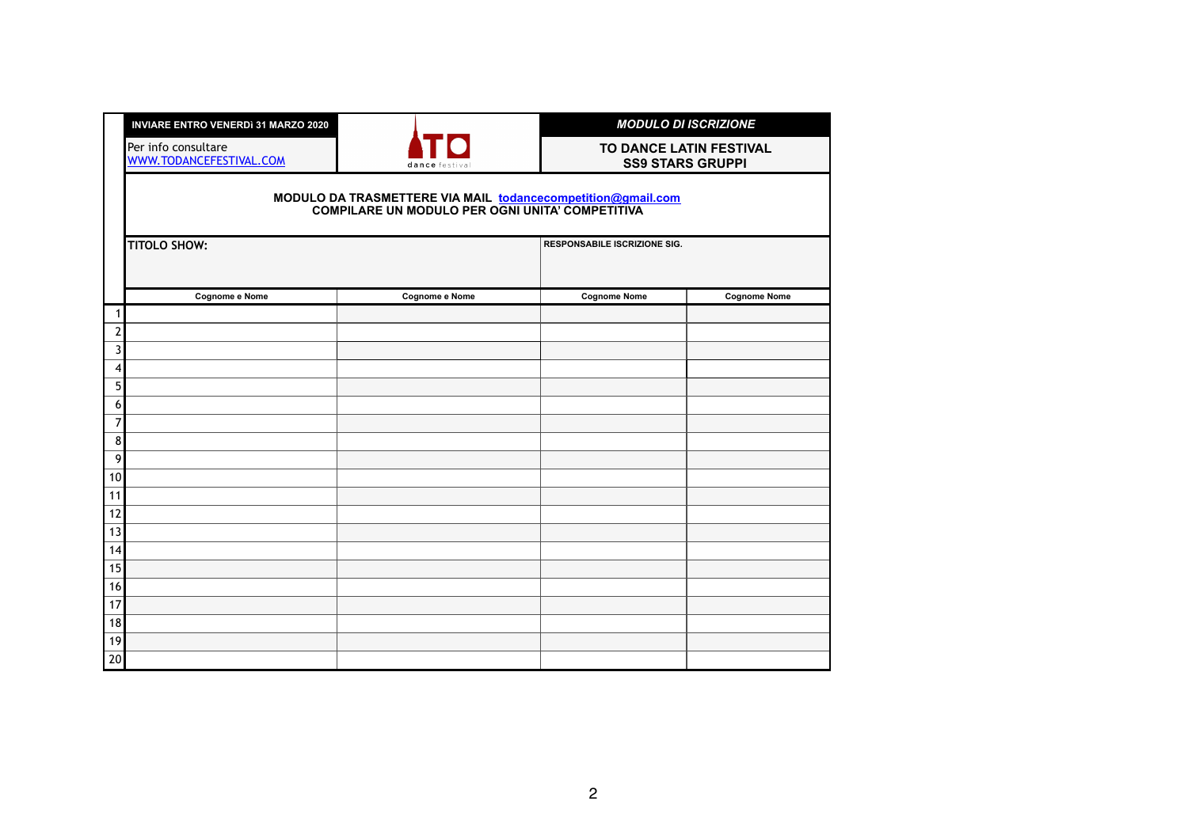|                | <b>INVIARE ENTRO VENERDI 31 MARZO 2020</b>     |                                                                                                                |                                     | <b>MODULO DI ISCRIZIONE</b>                        |
|----------------|------------------------------------------------|----------------------------------------------------------------------------------------------------------------|-------------------------------------|----------------------------------------------------|
|                | Per info consultare<br>WWW.TODANCEFESTIVAL.COM | dance festiva                                                                                                  |                                     | TO DANCE LATIN FESTIVAL<br><b>SS9 STARS GRUPPI</b> |
|                |                                                | MODULO DA TRASMETTERE VIA MAIL todancecompetition@gmail.com<br>COMPILARE UN MODULO PER OGNI UNITA' COMPETITIVA |                                     |                                                    |
|                | <b>TITOLO SHOW:</b>                            |                                                                                                                | <b>RESPONSABILE ISCRIZIONE SIG.</b> |                                                    |
|                | <b>Cognome e Nome</b>                          | <b>Cognome e Nome</b>                                                                                          | <b>Cognome Nome</b>                 | <b>Cognome Nome</b>                                |
| 1              |                                                |                                                                                                                |                                     |                                                    |
| $\mathbf{2}$   |                                                |                                                                                                                |                                     |                                                    |
| 3              |                                                |                                                                                                                |                                     |                                                    |
| 4<br>5         |                                                |                                                                                                                |                                     |                                                    |
| 6              |                                                |                                                                                                                |                                     |                                                    |
| $\overline{7}$ |                                                |                                                                                                                |                                     |                                                    |
| 8 <sup>1</sup> |                                                |                                                                                                                |                                     |                                                    |
| 9              |                                                |                                                                                                                |                                     |                                                    |
| 10             |                                                |                                                                                                                |                                     |                                                    |
| 11             |                                                |                                                                                                                |                                     |                                                    |
| 12             |                                                |                                                                                                                |                                     |                                                    |
| 13             |                                                |                                                                                                                |                                     |                                                    |
| 14             |                                                |                                                                                                                |                                     |                                                    |
| 15             |                                                |                                                                                                                |                                     |                                                    |
| 16             |                                                |                                                                                                                |                                     |                                                    |
| 17             |                                                |                                                                                                                |                                     |                                                    |
| 18<br>19       |                                                |                                                                                                                |                                     |                                                    |
| $20\,$         |                                                |                                                                                                                |                                     |                                                    |
|                |                                                |                                                                                                                |                                     |                                                    |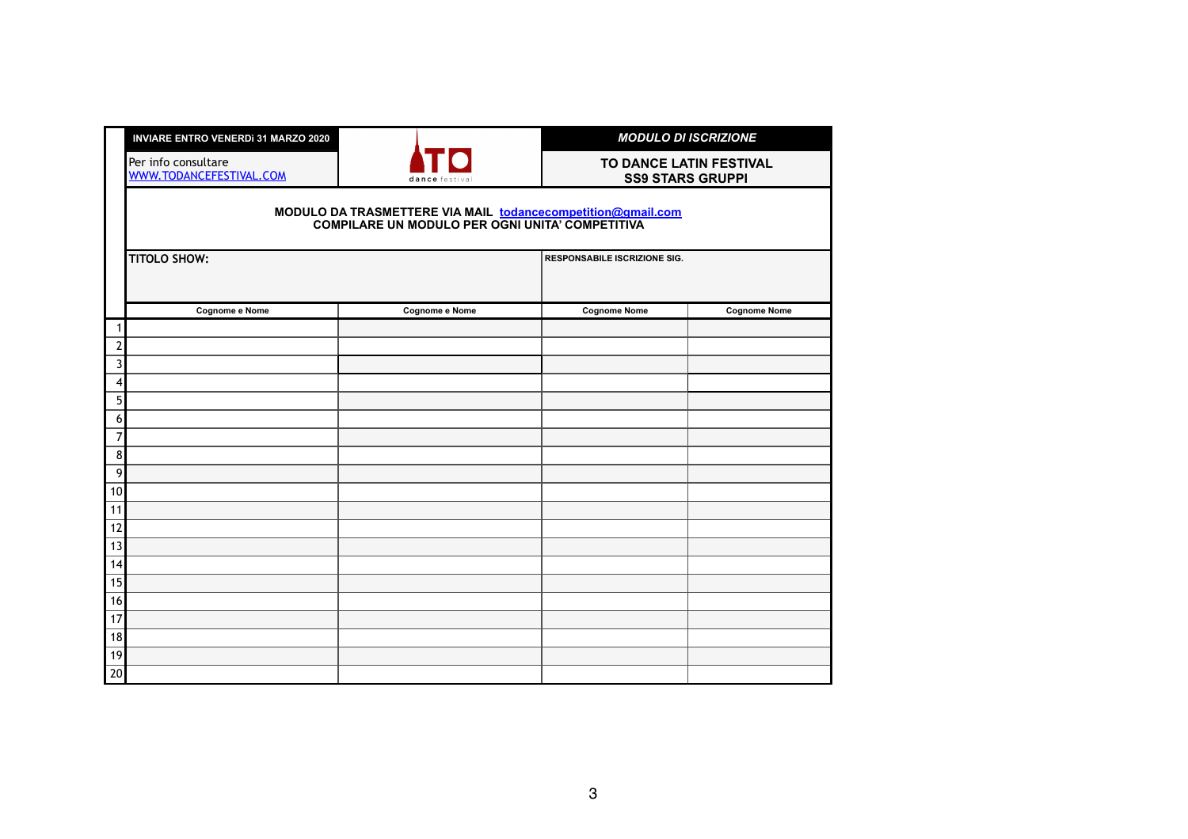|                     | <b>INVIARE ENTRO VENERDI 31 MARZO 2020</b>     |                                                                                                                | <b>MODULO DI ISCRIZIONE</b>                        |                     |  |  |
|---------------------|------------------------------------------------|----------------------------------------------------------------------------------------------------------------|----------------------------------------------------|---------------------|--|--|
|                     | Per info consultare<br>WWW.TODANCEFESTIVAL.COM | dance festiva                                                                                                  | TO DANCE LATIN FESTIVAL<br><b>SS9 STARS GRUPPI</b> |                     |  |  |
|                     |                                                | MODULO DA TRASMETTERE VIA MAIL todancecompetition@gmail.com<br>COMPILARE UN MODULO PER OGNI UNITA' COMPETITIVA |                                                    |                     |  |  |
|                     | <b>TITOLO SHOW:</b>                            |                                                                                                                | <b>RESPONSABILE ISCRIZIONE SIG.</b>                |                     |  |  |
|                     | <b>Cognome e Nome</b>                          | <b>Cognome e Nome</b>                                                                                          | <b>Cognome Nome</b>                                | <b>Cognome Nome</b> |  |  |
| 1                   |                                                |                                                                                                                |                                                    |                     |  |  |
| $\mathbf{2}$        |                                                |                                                                                                                |                                                    |                     |  |  |
| $\mathfrak{Z}$<br>4 |                                                |                                                                                                                |                                                    |                     |  |  |
| 5                   |                                                |                                                                                                                |                                                    |                     |  |  |
| 6                   |                                                |                                                                                                                |                                                    |                     |  |  |
| $\overline{7}$      |                                                |                                                                                                                |                                                    |                     |  |  |
| $\bf 8$             |                                                |                                                                                                                |                                                    |                     |  |  |
| $\boldsymbol{9}$    |                                                |                                                                                                                |                                                    |                     |  |  |
| 10                  |                                                |                                                                                                                |                                                    |                     |  |  |
| 11                  |                                                |                                                                                                                |                                                    |                     |  |  |
| 12                  |                                                |                                                                                                                |                                                    |                     |  |  |
| 13                  |                                                |                                                                                                                |                                                    |                     |  |  |
| 14                  |                                                |                                                                                                                |                                                    |                     |  |  |
| 15                  |                                                |                                                                                                                |                                                    |                     |  |  |
| 16                  |                                                |                                                                                                                |                                                    |                     |  |  |
| 17                  |                                                |                                                                                                                |                                                    |                     |  |  |
| 18<br>19            |                                                |                                                                                                                |                                                    |                     |  |  |
| 20                  |                                                |                                                                                                                |                                                    |                     |  |  |
|                     |                                                |                                                                                                                |                                                    |                     |  |  |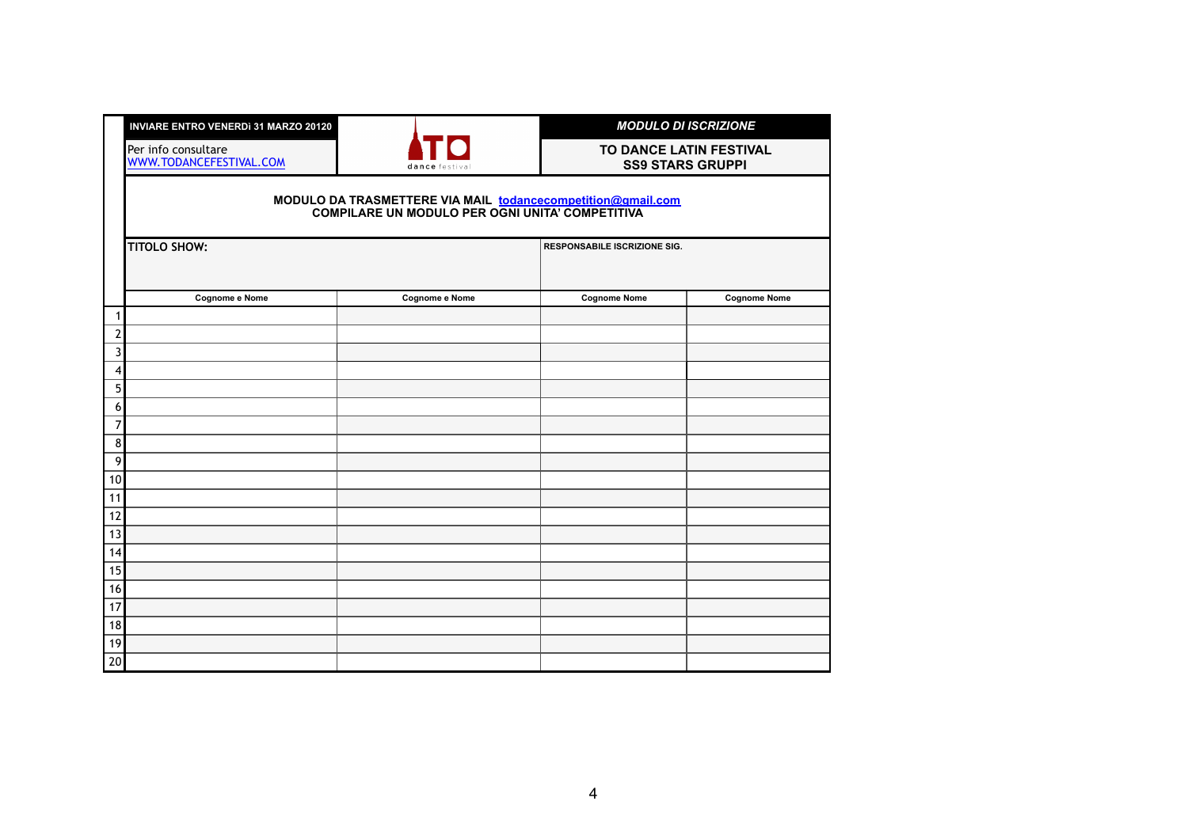|                     | <b>INVIARE ENTRO VENERDI 31 MARZO 20120</b>    |                                                                                                                |                                     | <b>MODULO DI ISCRIZIONE</b> |
|---------------------|------------------------------------------------|----------------------------------------------------------------------------------------------------------------|-------------------------------------|-----------------------------|
|                     | Per info consultare<br>WWW.TODANCEFESTIVAL.COM | dance festiva                                                                                                  | <b>SS9 STARS GRUPPI</b>             | TO DANCE LATIN FESTIVAL     |
|                     |                                                | MODULO DA TRASMETTERE VIA MAIL todancecompetition@gmail.com<br>COMPILARE UN MODULO PER OGNI UNITA' COMPETITIVA |                                     |                             |
|                     | <b>TITOLO SHOW:</b>                            |                                                                                                                | <b>RESPONSABILE ISCRIZIONE SIG.</b> |                             |
|                     | <b>Cognome e Nome</b>                          | <b>Cognome e Nome</b>                                                                                          | <b>Cognome Nome</b>                 | <b>Cognome Nome</b>         |
| 1                   |                                                |                                                                                                                |                                     |                             |
| $\overline{2}$<br>3 |                                                |                                                                                                                |                                     |                             |
| 4                   |                                                |                                                                                                                |                                     |                             |
| 5 <sup>1</sup>      |                                                |                                                                                                                |                                     |                             |
| 6                   |                                                |                                                                                                                |                                     |                             |
| $\overline{7}$      |                                                |                                                                                                                |                                     |                             |
| 8 <sup>1</sup>      |                                                |                                                                                                                |                                     |                             |
| $\overline{9}$      |                                                |                                                                                                                |                                     |                             |
| 10                  |                                                |                                                                                                                |                                     |                             |
| 11<br>12            |                                                |                                                                                                                |                                     |                             |
| 13                  |                                                |                                                                                                                |                                     |                             |
| 14                  |                                                |                                                                                                                |                                     |                             |
| 15                  |                                                |                                                                                                                |                                     |                             |
| 16                  |                                                |                                                                                                                |                                     |                             |
| 17                  |                                                |                                                                                                                |                                     |                             |
| 18                  |                                                |                                                                                                                |                                     |                             |
| 19                  |                                                |                                                                                                                |                                     |                             |
| 20                  |                                                |                                                                                                                |                                     |                             |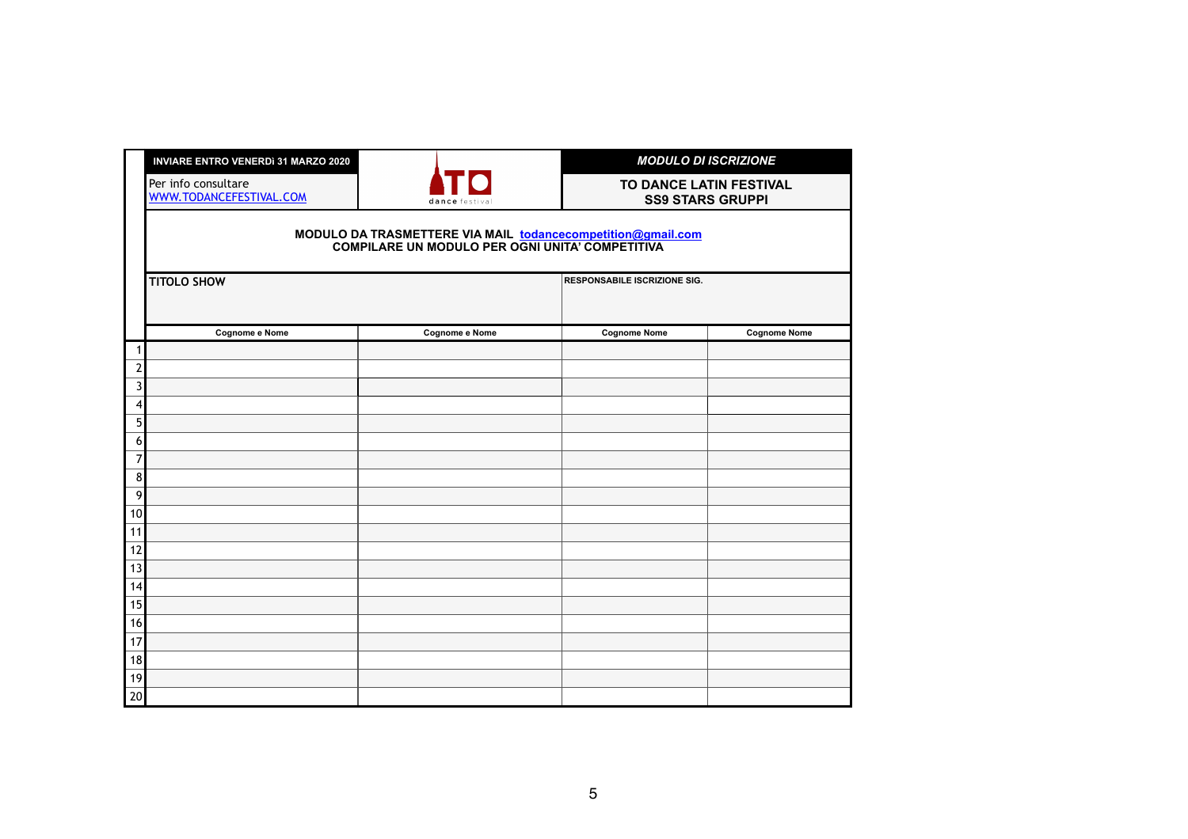|                                | <b>INVIARE ENTRO VENERDì 31 MARZO 2020</b>                                                                     |                       | <b>MODULO DI ISCRIZIONE</b>         |                         |  |
|--------------------------------|----------------------------------------------------------------------------------------------------------------|-----------------------|-------------------------------------|-------------------------|--|
|                                | Per info consultare<br>WWW.TODANCEFESTIVAL.COM                                                                 | dance festiva         | TO DANCE LATIN FESTIVAL             | <b>SS9 STARS GRUPPI</b> |  |
|                                | MODULO DA TRASMETTERE VIA MAIL todancecompetition@gmail.com<br>COMPILARE UN MODULO PER OGNI UNITA' COMPETITIVA |                       |                                     |                         |  |
|                                | <b>TITOLO SHOW</b>                                                                                             |                       | <b>RESPONSABILE ISCRIZIONE SIG.</b> |                         |  |
|                                | Cognome e Nome                                                                                                 | <b>Cognome e Nome</b> | <b>Cognome Nome</b>                 | <b>Cognome Nome</b>     |  |
| $\mathbf 1$                    |                                                                                                                |                       |                                     |                         |  |
| $\overline{2}$<br>$\mathbf{3}$ |                                                                                                                |                       |                                     |                         |  |
| 4                              |                                                                                                                |                       |                                     |                         |  |
| 5 <sup>1</sup>                 |                                                                                                                |                       |                                     |                         |  |
| 6                              |                                                                                                                |                       |                                     |                         |  |
| $\overline{7}$                 |                                                                                                                |                       |                                     |                         |  |
| $\bf 8$                        |                                                                                                                |                       |                                     |                         |  |
| $\overline{9}$                 |                                                                                                                |                       |                                     |                         |  |
| 10                             |                                                                                                                |                       |                                     |                         |  |
| 11<br>12                       |                                                                                                                |                       |                                     |                         |  |
| 13                             |                                                                                                                |                       |                                     |                         |  |
| 14                             |                                                                                                                |                       |                                     |                         |  |
| 15                             |                                                                                                                |                       |                                     |                         |  |
| 16                             |                                                                                                                |                       |                                     |                         |  |
| 17                             |                                                                                                                |                       |                                     |                         |  |
| 18                             |                                                                                                                |                       |                                     |                         |  |
| 19                             |                                                                                                                |                       |                                     |                         |  |
| 20                             |                                                                                                                |                       |                                     |                         |  |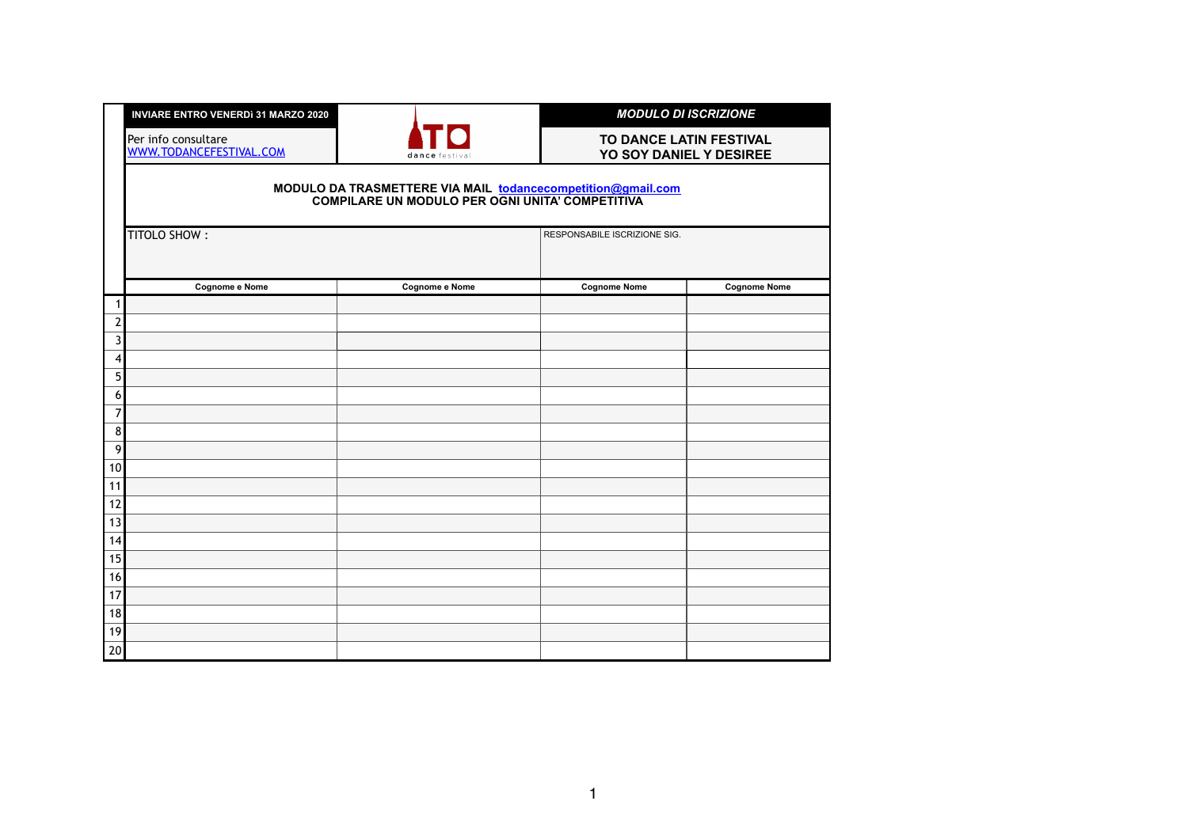|                                | <b>INVIARE ENTRO VENERDI 31 MARZO 2020</b>                                                                     |                       | <b>MODULO DI ISCRIZIONE</b>                        |                     |  |  |
|--------------------------------|----------------------------------------------------------------------------------------------------------------|-----------------------|----------------------------------------------------|---------------------|--|--|
|                                | Per info consultare<br>WWW.TODANCEFESTIVAL.COM                                                                 | dance festiva         | TO DANCE LATIN FESTIVAL<br>YO SOY DANIEL Y DESIREE |                     |  |  |
|                                | MODULO DA TRASMETTERE VIA MAIL todancecompetition@gmail.com<br>COMPILARE UN MODULO PER OGNI UNITA' COMPETITIVA |                       |                                                    |                     |  |  |
|                                | <b>TITOLO SHOW:</b>                                                                                            |                       | RESPONSABILE ISCRIZIONE SIG.                       |                     |  |  |
|                                | <b>Cognome e Nome</b>                                                                                          | <b>Cognome e Nome</b> | <b>Cognome Nome</b>                                | <b>Cognome Nome</b> |  |  |
| 1                              |                                                                                                                |                       |                                                    |                     |  |  |
| $\overline{2}$<br>$\mathbf{3}$ |                                                                                                                |                       |                                                    |                     |  |  |
| 4                              |                                                                                                                |                       |                                                    |                     |  |  |
| 5                              |                                                                                                                |                       |                                                    |                     |  |  |
| 6                              |                                                                                                                |                       |                                                    |                     |  |  |
| $\overline{7}$                 |                                                                                                                |                       |                                                    |                     |  |  |
| $\bf 8$                        |                                                                                                                |                       |                                                    |                     |  |  |
| 9                              |                                                                                                                |                       |                                                    |                     |  |  |
| 10                             |                                                                                                                |                       |                                                    |                     |  |  |
| 11<br>12                       |                                                                                                                |                       |                                                    |                     |  |  |
| 13                             |                                                                                                                |                       |                                                    |                     |  |  |
| 14                             |                                                                                                                |                       |                                                    |                     |  |  |
| 15                             |                                                                                                                |                       |                                                    |                     |  |  |
| 16                             |                                                                                                                |                       |                                                    |                     |  |  |
| 17                             |                                                                                                                |                       |                                                    |                     |  |  |
| 18                             |                                                                                                                |                       |                                                    |                     |  |  |
| 19                             |                                                                                                                |                       |                                                    |                     |  |  |
| 20                             |                                                                                                                |                       |                                                    |                     |  |  |